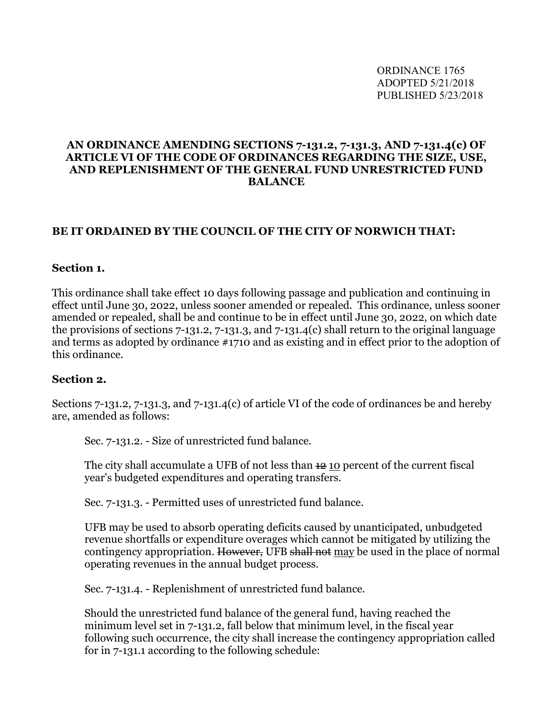## **AN ORDINANCE AMENDING SECTIONS 7-131.2, 7-131.3, AND 7-131.4(c) OF ARTICLE VI OF THE CODE OF ORDINANCES REGARDING THE SIZE, USE, AND REPLENISHMENT OF THE GENERAL FUND UNRESTRICTED FUND BALANCE**

## **BE IT ORDAINED BY THE COUNCIL OF THE CITY OF NORWICH THAT:**

## **Section 1.**

This ordinance shall take effect 10 days following passage and publication and continuing in effect until June 30, 2022, unless sooner amended or repealed. This ordinance, unless sooner amended or repealed, shall be and continue to be in effect until June 30, 2022, on which date the provisions of sections 7-131.2, 7-131.3, and 7-131.4(c) shall return to the original language and terms as adopted by ordinance #1710 and as existing and in effect prior to the adoption of this ordinance.

## **Section 2.**

Sections 7-131.2, 7-131.3, and 7-131.4(c) of article VI of the code of ordinances be and hereby are, amended as follows:

Sec. 7-131.2. - Size of unrestricted fund balance.

The city shall accumulate a UFB of not less than  $\pm 2$  10 percent of the current fiscal year's budgeted expenditures and operating transfers.

Sec. 7-131.3. - Permitted uses of unrestricted fund balance.

UFB may be used to absorb operating deficits caused by unanticipated, unbudgeted revenue shortfalls or expenditure overages which cannot be mitigated by utilizing the contingency appropriation. However, UFB shall not may be used in the place of normal operating revenues in the annual budget process.

Sec. 7-131.4. - Replenishment of unrestricted fund balance.

Should the unrestricted fund balance of the general fund, having reached the minimum level set in 7-131.2, fall below that minimum level, in the fiscal year following such occurrence, the city shall increase the contingency appropriation called for in 7-131.1 according to the following schedule: